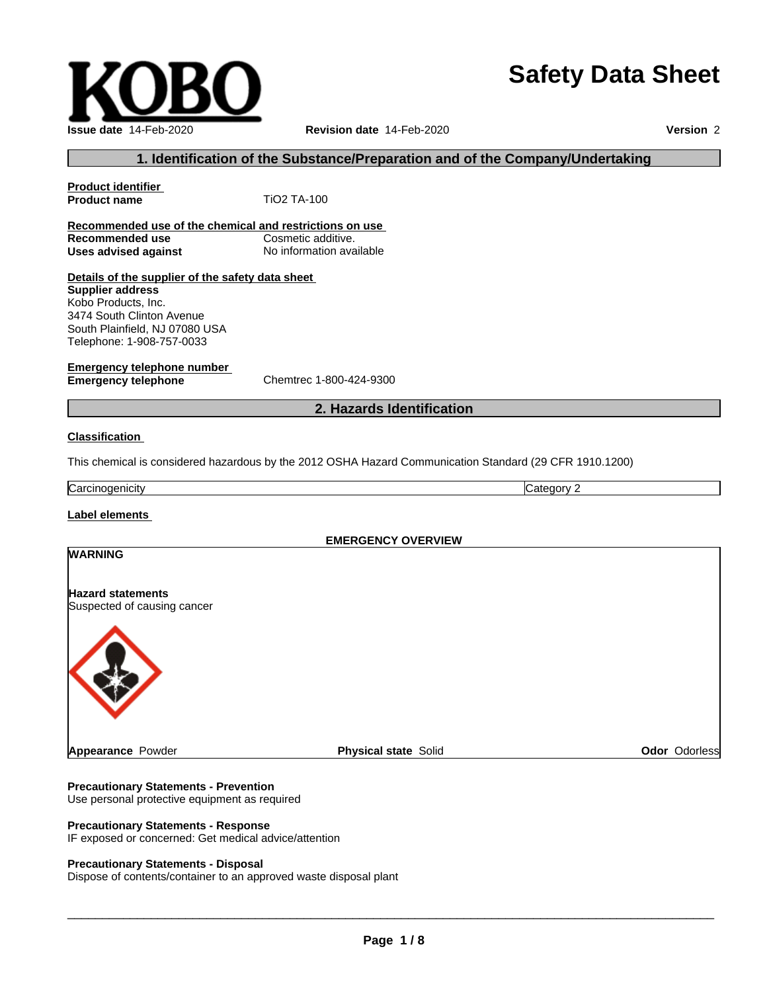# **Safety Data Sheet**

 $\overline{\phantom{a}}$  ,  $\overline{\phantom{a}}$  ,  $\overline{\phantom{a}}$  ,  $\overline{\phantom{a}}$  ,  $\overline{\phantom{a}}$  ,  $\overline{\phantom{a}}$  ,  $\overline{\phantom{a}}$  ,  $\overline{\phantom{a}}$  ,  $\overline{\phantom{a}}$  ,  $\overline{\phantom{a}}$  ,  $\overline{\phantom{a}}$  ,  $\overline{\phantom{a}}$  ,  $\overline{\phantom{a}}$  ,  $\overline{\phantom{a}}$  ,  $\overline{\phantom{a}}$  ,  $\overline{\phantom{a}}$ 

#### **1. Identification of the Substance/Preparation and of the Company/Undertaking**

## **Product name** TiO2 TA-100 **Recommended use of the chemical and restrictions on use Recommended use Cosmetic additive. Uses advised against** No information available **Details of the supplier of the safety data sheet Emergency telephone number Emergency telephone** Chemtrec 1-800-424-9300 **2. Hazards Identification Classification** Carcinogenicity Category 2 **Label elements EMERGENCY OVERVIEW Supplier address** Kobo Products, Inc. 3474 South Clinton Avenue South Plainfield, NJ 07080 USA Telephone: 1-908-757-0033 **WARNING Hazard statements**

Suspected of causing cancer



## **Precautionary Statements - Prevention**

Use personal protective equipment as required

#### **Precautionary Statements - Response**

IF exposed or concerned: Get medical advice/attention

#### **Precautionary Statements - Disposal**

Dispose of contents/container to an approved waste disposal plant

**Issue date** 14-Feb-2020 **Revision date** 14-Feb-2020 **Version** 2

**Product identifier**

This chemical is considered hazardous by the 2012 OSHA Hazard Communication Standard (29 CFR 1910.1200)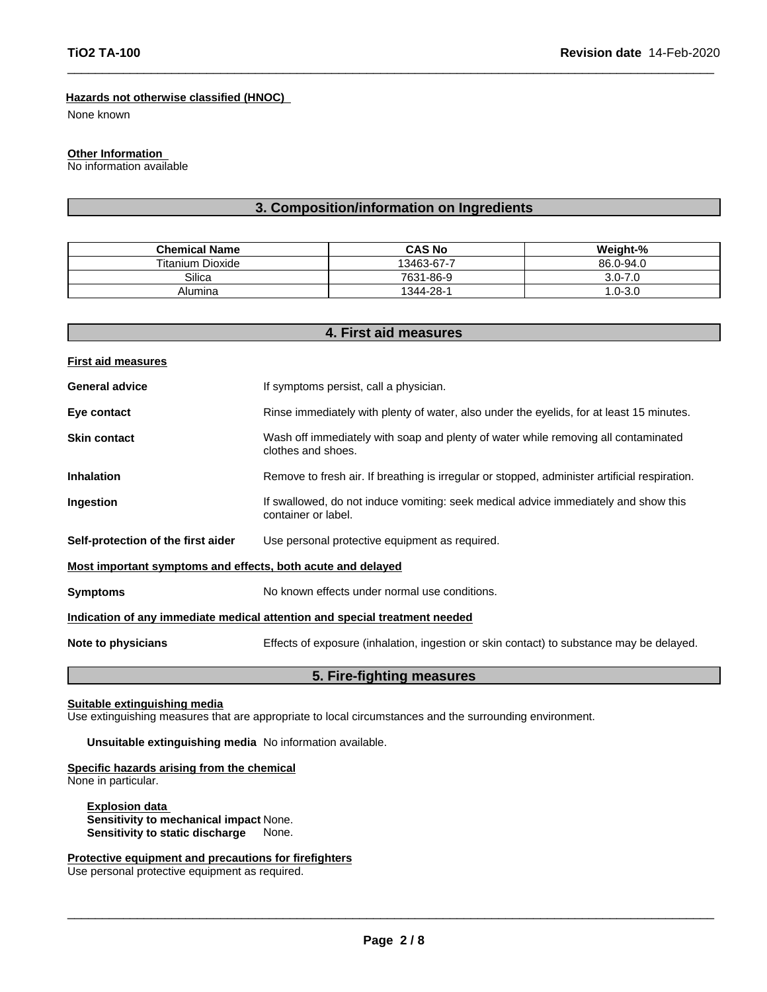#### **Hazards not otherwise classified (HNOC)**

None known

#### **Other Information**

No information available

### **3. Composition/information on Ingredients**

| <b>Chemical Name</b>    | <b>CAS No</b> | Weight-%    |
|-------------------------|---------------|-------------|
| <b>Titanium Dioxide</b> | 13463-67-7    | 86.0-94.0   |
| Silica                  | 7631-86-9     | $3.0 - 7.0$ |
| Alumina                 | 1344-28-1     | $.0 - 3.0$  |

**4. First aid measures**

|                                                             | 4. FIIST alu measures                                                                                      |
|-------------------------------------------------------------|------------------------------------------------------------------------------------------------------------|
| <b>First aid measures</b>                                   |                                                                                                            |
| <b>General advice</b>                                       | If symptoms persist, call a physician.                                                                     |
| Eye contact                                                 | Rinse immediately with plenty of water, also under the eyelids, for at least 15 minutes.                   |
| <b>Skin contact</b>                                         | Wash off immediately with soap and plenty of water while removing all contaminated<br>clothes and shoes.   |
| <b>Inhalation</b>                                           | Remove to fresh air. If breathing is irregular or stopped, administer artificial respiration.              |
| Ingestion                                                   | If swallowed, do not induce vomiting: seek medical advice immediately and show this<br>container or label. |
| Self-protection of the first aider                          | Use personal protective equipment as required.                                                             |
| Most important symptoms and effects, both acute and delayed |                                                                                                            |
| <b>Symptoms</b>                                             | No known effects under normal use conditions.                                                              |
|                                                             | Indication of any immediate medical attention and special treatment needed                                 |
| Note to physicians                                          | Effects of exposure (inhalation, ingestion or skin contact) to substance may be delayed.                   |
|                                                             | 5. Fire-fighting measures                                                                                  |

#### **Suitable extinguishing media**

Use extinguishing measures that are appropriate to local circumstances and the surrounding environment.

**Unsuitable extinguishing media** No information available.

**Specific hazards arising from the chemical** None in particular.

**Explosion data Sensitivity to mechanical impact** None. **Sensitivity to static discharge** None.

**Protective equipment and precautions for firefighters** Use personal protective equipment as required.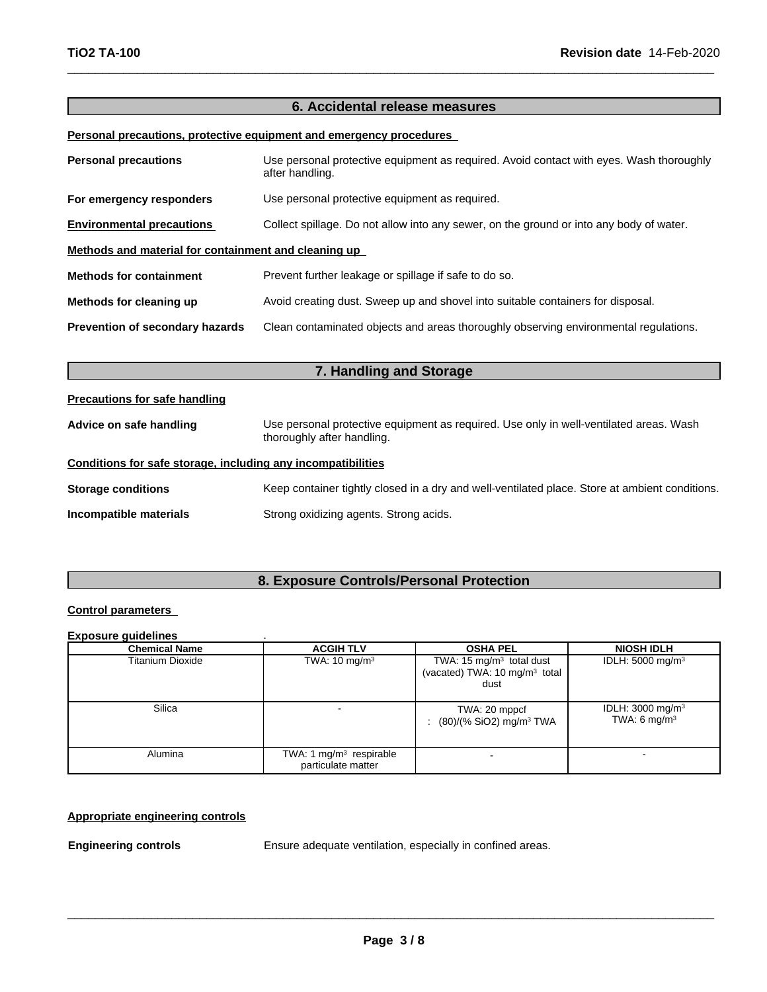## **6. Accidental release measures**

#### **Personal precautions, protective equipment and emergency procedures**

| <b>Personal precautions</b>                          | Use personal protective equipment as required. Avoid contact with eyes. Wash thoroughly<br>after handling. |
|------------------------------------------------------|------------------------------------------------------------------------------------------------------------|
| For emergency responders                             | Use personal protective equipment as required.                                                             |
| <b>Environmental precautions</b>                     | Collect spillage. Do not allow into any sewer, on the ground or into any body of water.                    |
| Methods and material for containment and cleaning up |                                                                                                            |
| <b>Methods for containment</b>                       | Prevent further leakage or spillage if safe to do so.                                                      |
| Methods for cleaning up                              | Avoid creating dust. Sweep up and shovel into suitable containers for disposal.                            |
| Prevention of secondary hazards                      | Clean contaminated objects and areas thoroughly observing environmental regulations.                       |
|                                                      |                                                                                                            |

| 7. Handling and Storage                                      |                                                                                                                      |  |  |  |
|--------------------------------------------------------------|----------------------------------------------------------------------------------------------------------------------|--|--|--|
| <b>Precautions for safe handling</b>                         |                                                                                                                      |  |  |  |
| Advice on safe handling                                      | Use personal protective equipment as required. Use only in well-ventilated areas. Wash<br>thoroughly after handling. |  |  |  |
| Conditions for safe storage, including any incompatibilities |                                                                                                                      |  |  |  |
| <b>Storage conditions</b>                                    | Keep container tightly closed in a dry and well-ventilated place. Store at ambient conditions.                       |  |  |  |
| Incompatible materials                                       | Strong oxidizing agents. Strong acids.                                                                               |  |  |  |

## **8. Exposure Controls/Personal Protection**

#### **Control parameters**

#### **Exposure guidelines** .

| <b>Chemical Name</b> | <b>ACGIH TLV</b>                                | <b>OSHA PEL</b>                                                                 | <b>NIOSH IDLH</b>                                      |
|----------------------|-------------------------------------------------|---------------------------------------------------------------------------------|--------------------------------------------------------|
| Titanium Dioxide     | TWA: $10 \text{ mg/m}^3$                        | TWA: 15 $mg/m3$ total dust<br>(vacated) TWA: 10 mg/m <sup>3</sup> total<br>dust | IDLH: $5000 \text{ mg/m}^3$                            |
| Silica               |                                                 | TWA: 20 mppcf<br>$(80)/(%$ SiO2) mg/m <sup>3</sup> TWA                          | IDLH: $3000 \text{ mg/m}^3$<br>TWA: $6 \text{ mg/m}^3$ |
| Alumina              | TWA: 1 $mg/m3$ respirable<br>particulate matter |                                                                                 |                                                        |

#### **Appropriate engineering controls**

**Engineering controls** Ensure adequate ventilation, especially in confined areas.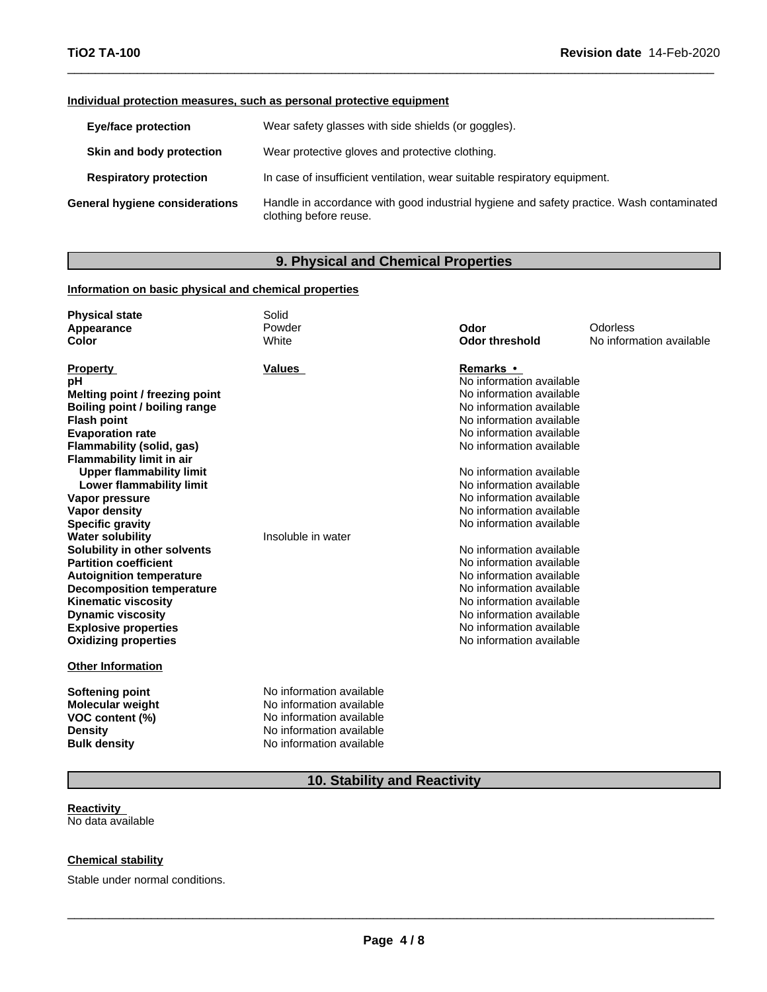#### **Individual protection measures, such as personal protective equipment**

| <b>Eye/face protection</b>     | Wear safety glasses with side shields (or goggles).                                                                |
|--------------------------------|--------------------------------------------------------------------------------------------------------------------|
| Skin and body protection       | Wear protective gloves and protective clothing.                                                                    |
| <b>Respiratory protection</b>  | In case of insufficient ventilation, wear suitable respiratory equipment.                                          |
| General hygiene considerations | Handle in accordance with good industrial hygiene and safety practice. Wash contaminated<br>clothing before reuse. |

## **9. Physical and Chemical Properties**

#### **Information on basic physical and chemical properties**

| <b>Physical state</b>            | Solid                    |                          |                          |
|----------------------------------|--------------------------|--------------------------|--------------------------|
| Appearance                       | Powder                   | Odor                     | Odorless                 |
| Color                            | White                    | <b>Odor threshold</b>    | No information available |
|                                  |                          |                          |                          |
| <b>Property</b>                  | Values                   | <b>Remarks •</b>         |                          |
| рH                               |                          | No information available |                          |
| Melting point / freezing point   |                          | No information available |                          |
| Boiling point / boiling range    |                          | No information available |                          |
| <b>Flash point</b>               |                          | No information available |                          |
| <b>Evaporation rate</b>          |                          | No information available |                          |
| Flammability (solid, gas)        |                          | No information available |                          |
| <b>Flammability limit in air</b> |                          |                          |                          |
| <b>Upper flammability limit</b>  |                          | No information available |                          |
| Lower flammability limit         |                          | No information available |                          |
| Vapor pressure                   |                          | No information available |                          |
| Vapor density                    |                          | No information available |                          |
| <b>Specific gravity</b>          |                          | No information available |                          |
| <b>Water solubility</b>          | Insoluble in water       |                          |                          |
| Solubility in other solvents     |                          | No information available |                          |
| <b>Partition coefficient</b>     |                          | No information available |                          |
| <b>Autoignition temperature</b>  |                          | No information available |                          |
| <b>Decomposition temperature</b> |                          | No information available |                          |
| <b>Kinematic viscosity</b>       |                          | No information available |                          |
| <b>Dynamic viscosity</b>         |                          | No information available |                          |
| <b>Explosive properties</b>      |                          | No information available |                          |
| <b>Oxidizing properties</b>      |                          | No information available |                          |
| <b>Other Information</b>         |                          |                          |                          |
| <b>Softening point</b>           | No information available |                          |                          |
| <b>Molecular weight</b>          | No information available |                          |                          |
| VOC content (%)                  | No information available |                          |                          |
| <b>Density</b>                   | No information available |                          |                          |
| <b>Bulk density</b>              | No information available |                          |                          |

## **10. Stability and Reactivity**

#### **Reactivity** No data available

#### **Chemical stability**

Stable under normal conditions.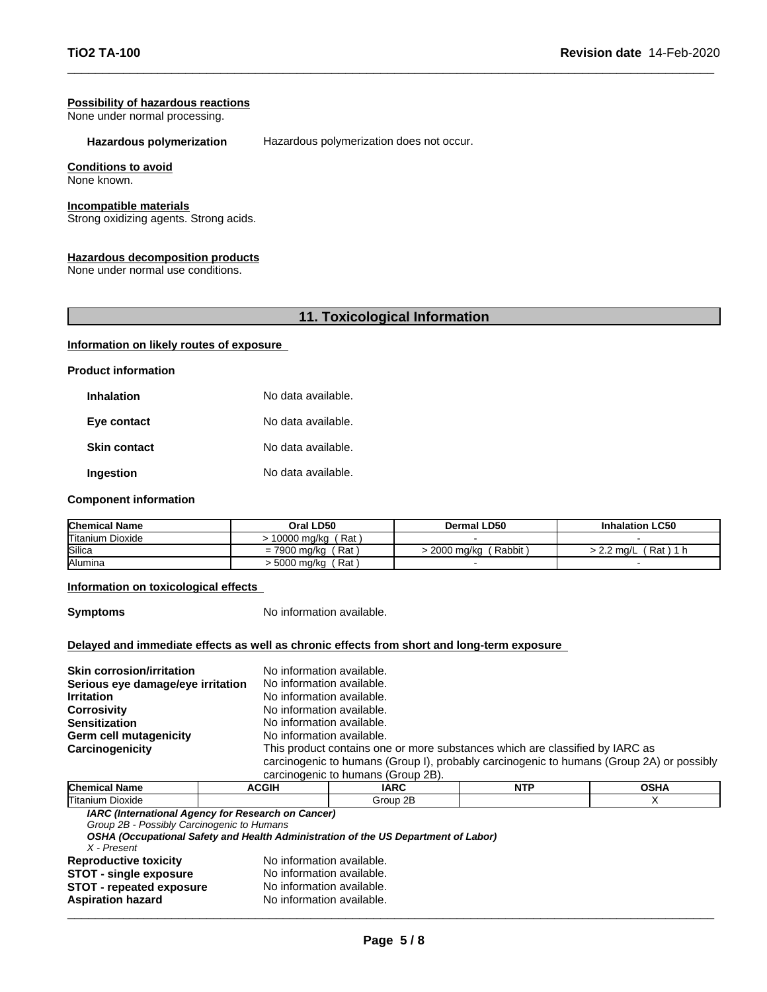## **Possibility of hazardous reactions**

None under normal processing.

**Hazardous polymerization** Hazardous polymerization does not occur.

#### **Conditions to avoid**

None known.

#### **Incompatible materials**

Strong oxidizing agents. Strong acids.

#### **Hazardous decomposition products**

None under normal use conditions.

#### **11. Toxicological Information**

#### **Information on likely routes of exposure**

**Product information**

| <b>Inhalation</b>   | No data available. |
|---------------------|--------------------|
| Eye contact         | No data available. |
| <b>Skin contact</b> | No data available. |
| Ingestion           | No data available. |

#### **Component information**

| <b>Chemical Name</b> | Oral LD50             | Dermal LD50          | <b>Inhalation LC50</b>  |
|----------------------|-----------------------|----------------------|-------------------------|
| Titanium Dioxide     | ˈRat .<br>10000 mg/kg |                      |                         |
| Silica               | Rat<br>= 7900 ma/ka   | Rabbit<br>2000 ma/ka | Rat<br>$\cdot$ 2.2 ma/L |
| Alumina              | Rat<br>∙ 5000 mg/kg   |                      |                         |

#### **Information on toxicological effects**

**Symptoms** No information available.

#### **Delayed and immediate effects as well as chronic effects from short and long-term exposure**

| <b>Corrosivity</b><br><b>Sensitization</b><br>Germ cell mutagenicity | No information available.<br>No information available.<br>No information available. |                                                                                                                                                                                                                |             |               |  |  |
|----------------------------------------------------------------------|-------------------------------------------------------------------------------------|----------------------------------------------------------------------------------------------------------------------------------------------------------------------------------------------------------------|-------------|---------------|--|--|
|                                                                      |                                                                                     |                                                                                                                                                                                                                |             |               |  |  |
| Carcinogenicity                                                      |                                                                                     | This product contains one or more substances which are classified by IARC as<br>carcinogenic to humans (Group I), probably carcinogenic to humans (Group 2A) or possibly<br>carcinogenic to humans (Group 2B). |             |               |  |  |
| $OL$ and a all Masses                                                | 50011                                                                               | 1000                                                                                                                                                                                                           | <b>NITD</b> | $\sim$ $\sim$ |  |  |

| Chemical<br>Name<br>$\cdot$ | CGII | <b>IARC</b> | .<br>. . | י<br>п,<br>. |
|-----------------------------|------|-------------|----------|--------------|
| Titanium.<br>Dioxide        |      | irour       |          |              |
| .                           |      |             |          |              |

*IARC (International Agency for Research on Cancer)*

*Group 2B - Possibly Carcinogenic to Humans*

*OSHA (Occupational Safety and Health Administration of the US Department of Labor)*

| X - Present                     |                           |  |
|---------------------------------|---------------------------|--|
| <b>Reproductive toxicity</b>    | No information available. |  |
| <b>STOT - single exposure</b>   | No information available. |  |
| <b>STOT - repeated exposure</b> | No information available. |  |
| <b>Aspiration hazard</b>        | No information available. |  |
|                                 |                           |  |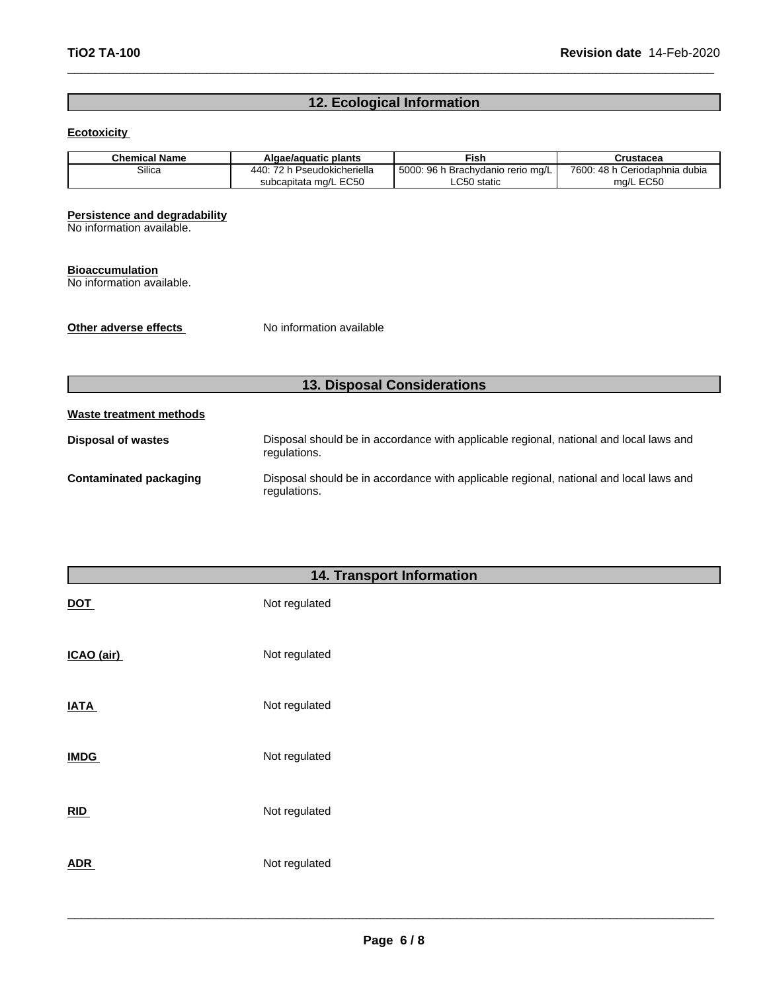### **12. Ecological Information**

#### **Ecotoxicity**

| Chemical Name | Algae/aguatic plants                        | Fish                                      | Crustacea                         |
|---------------|---------------------------------------------|-------------------------------------------|-----------------------------------|
| Silica        | $\overline{z}$<br>Pseudokicheriella<br>440. | 96 h<br>5000:<br>h Brachvdanio rerio mɑ/L | 7600: 48 h<br>⊦Ceriodaphnia dubia |
|               | subcapitata mg/L EC50                       | LC50 static                               | ma/L EC50                         |

#### **Persistence and degradability**

No information available.

#### **Bioaccumulation**

No information available.

**Other adverse effects** No information available

## **13. Disposal Considerations**

## **Waste treatment methods Disposal of wastes** Disposal should be in accordance with applicable regional, national and local laws and regulations. **Contaminated packaging** Disposal should be in accordance with applicable regional, national and local laws and regulations.

|             | 14. Transport Information |
|-------------|---------------------------|
| <b>DOT</b>  | Not regulated             |
| ICAO (air)  | Not regulated             |
| <b>IATA</b> | Not regulated             |
| <b>IMDG</b> | Not regulated             |
| RID         | Not regulated             |
| <b>ADR</b>  | Not regulated             |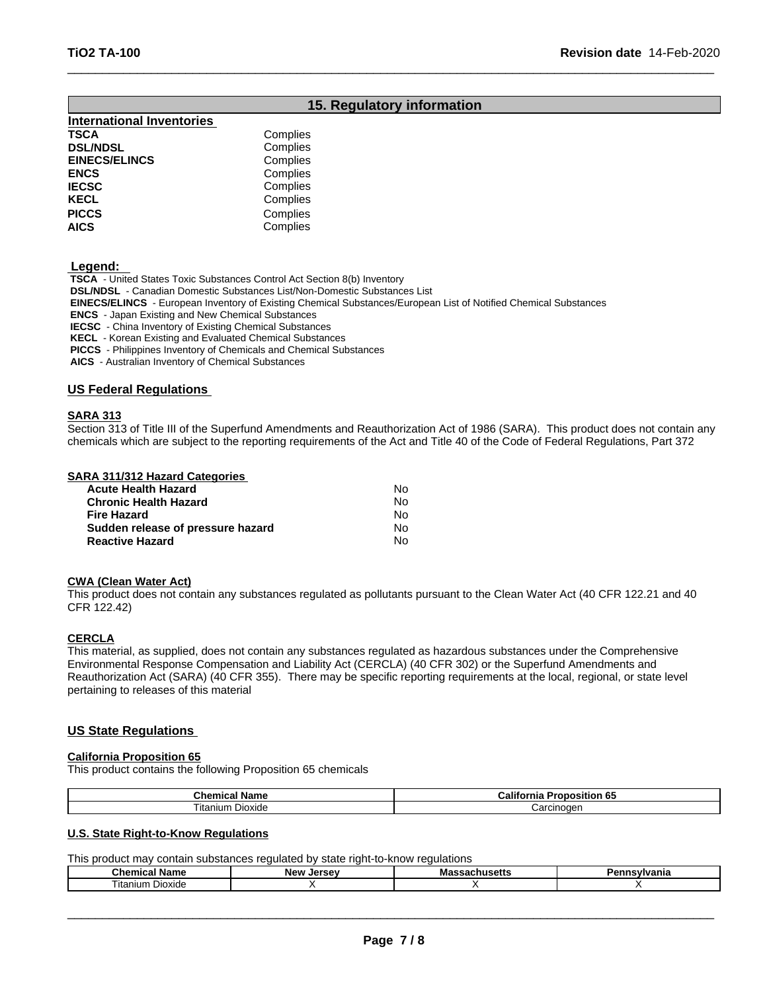### **15. Regulatory information**

| <b>International Inventories</b> |          |  |
|----------------------------------|----------|--|
| TSCA                             | Complies |  |
| <b>DSL/NDSL</b>                  | Complies |  |
| <b>EINECS/ELINCS</b>             | Complies |  |
| <b>ENCS</b>                      | Complies |  |
| <b>IECSC</b>                     | Complies |  |
| <b>KECL</b>                      | Complies |  |
| <b>PICCS</b>                     | Complies |  |
| AICS                             | Complies |  |

 **Legend:** 

 **TSCA** - United States Toxic Substances Control Act Section 8(b) Inventory

 **DSL/NDSL** - Canadian Domestic Substances List/Non-Domestic Substances List

 **EINECS/ELINCS** - European Inventory of Existing Chemical Substances/European List of Notified Chemical Substances

 **ENCS** - Japan Existing and New Chemical Substances

 **IECSC** - China Inventory of Existing Chemical Substances

 **KECL** - Korean Existing and Evaluated Chemical Substances

 **PICCS** - Philippines Inventory of Chemicals and Chemical Substances

 **AICS** - Australian Inventory of Chemical Substances

#### **US Federal Regulations**

#### **SARA 313**

Section 313 of Title III of the Superfund Amendments and Reauthorization Act of 1986 (SARA). This product does not contain any chemicals which are subject to the reporting requirements of the Act and Title 40 of the Code of Federal Regulations, Part 372

#### **SARA 311/312 Hazard Categories**

| <b>Acute Health Hazard</b>        | No. |
|-----------------------------------|-----|
| <b>Chronic Health Hazard</b>      | No. |
| Fire Hazard                       | N٥  |
| Sudden release of pressure hazard | No. |
| <b>Reactive Hazard</b>            | N٥  |

#### **CWA** (Clean Water Act)

This product does not contain any substances regulated as pollutants pursuant to the Clean Water Act (40 CFR 122.21 and 40 CFR 122.42)

#### **CERCLA**

This material, as supplied, does not contain any substances regulated as hazardous substances under the Comprehensive Environmental Response Compensation and Liability Act (CERCLA) (40 CFR 302) or the Superfund Amendments and Reauthorization Act (SARA) (40 CFR 355). There may be specific reporting requirements at the local, regional, or state level pertaining to releases of this material

#### **US State Regulations**

#### **California Proposition 65**

This product contains the following Proposition 65 chemicals

| Chemical<br>∵Name          | Califo.<br>osition<br>.o.<br>nıa |
|----------------------------|----------------------------------|
| $-$<br>⊺ıtanıum<br>Dioxide | 'oroinogon<br>тствоает           |

#### **U.S. State Right-to-Know Regulations**

This product may contain substances regulated by state right-to-know regulations

| ÷н.<br>Name<br>Chemical | NAW<br>$I^{\alpha}$<br>סוו<br>JE SET | massachusells | ™Ivania<br>ыш |
|-------------------------|--------------------------------------|---------------|---------------|
| Dioxide<br>l itanıum    |                                      |               |               |